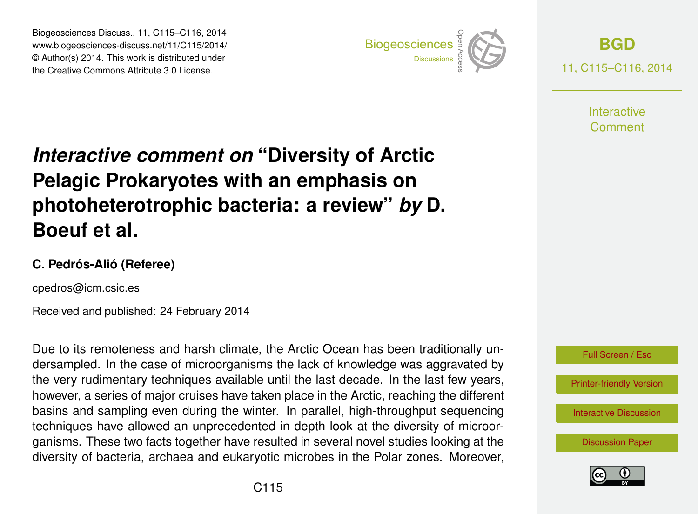Biogeosciences Discuss., 11, C115–C116, 2014 www.biogeosciences-discuss.net/11/C115/2014/ © Author(s) 2014. This work is distributed under Biogeosciences Discuss., 11, C115–C116, 2014<br>
www.biogeosciences-discuss.net/11/C115/2014/<br>
© Author(s) 2014. This work is distributed under<br>
the Creative Commons Attribute 3.0 License.



**[BGD](http://www.biogeosciences-discuss.net)** 11, C115–C116, 2014

> **Interactive** Comment

## *Interactive comment on* **"Diversity of Arctic Pelagic Prokaryotes with an emphasis on photoheterotrophic bacteria: a review"** *by* **D. Boeuf et al.**

## **C. Pedrós-Alió (Referee)**

cpedros@icm.csic.es

Received and published: 24 February 2014

Due to its remoteness and harsh climate, the Arctic Ocean has been traditionally undersampled. In the case of microorganisms the lack of knowledge was aggravated by the very rudimentary techniques available until the last decade. In the last few years, however, a series of major cruises have taken place in the Arctic, reaching the different basins and sampling even during the winter. In parallel, high-throughput sequencing techniques have allowed an unprecedented in depth look at the diversity of microorganisms. These two facts together have resulted in several novel studies looking at the diversity of bacteria, archaea and eukaryotic microbes in the Polar zones. Moreover,